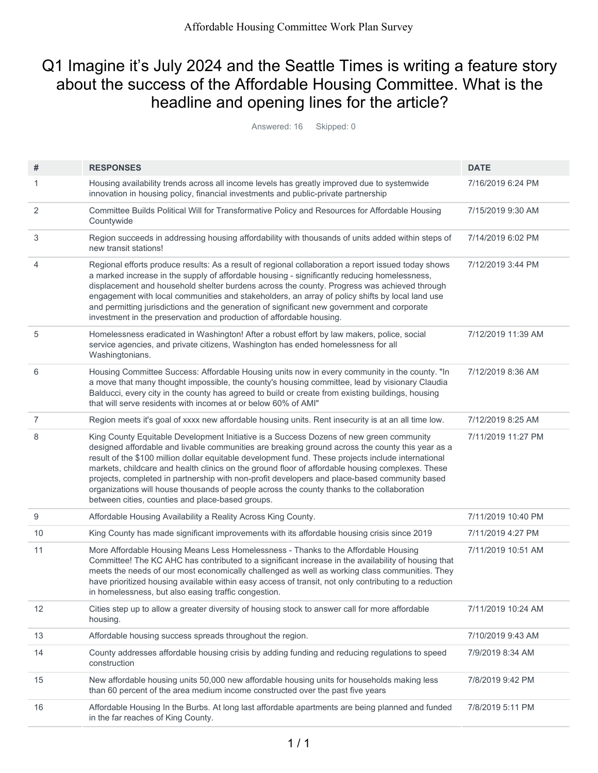## Q1 Imagine it's July 2024 and the Seattle Times is writing a feature story about the success of the Affordable Housing Committee. What is the headline and opening lines for the article?

Answered: 16 Skipped: 0

| #  | <b>RESPONSES</b>                                                                                                                                                                                                                                                                                                                                                                                                                                                                                                                                                                                                                                          | <b>DATE</b>        |
|----|-----------------------------------------------------------------------------------------------------------------------------------------------------------------------------------------------------------------------------------------------------------------------------------------------------------------------------------------------------------------------------------------------------------------------------------------------------------------------------------------------------------------------------------------------------------------------------------------------------------------------------------------------------------|--------------------|
| 1  | Housing availability trends across all income levels has greatly improved due to systemwide<br>innovation in housing policy, financial investments and public-private partnership                                                                                                                                                                                                                                                                                                                                                                                                                                                                         | 7/16/2019 6:24 PM  |
| 2  | Committee Builds Political Will for Transformative Policy and Resources for Affordable Housing<br>Countywide                                                                                                                                                                                                                                                                                                                                                                                                                                                                                                                                              | 7/15/2019 9:30 AM  |
| 3  | Region succeeds in addressing housing affordability with thousands of units added within steps of<br>new transit stations!                                                                                                                                                                                                                                                                                                                                                                                                                                                                                                                                | 7/14/2019 6:02 PM  |
| 4  | Regional efforts produce results: As a result of regional collaboration a report issued today shows<br>a marked increase in the supply of affordable housing - significantly reducing homelessness,<br>displacement and household shelter burdens across the county. Progress was achieved through<br>engagement with local communities and stakeholders, an array of policy shifts by local land use<br>and permitting jurisdictions and the generation of significant new government and corporate<br>investment in the preservation and production of affordable housing.                                                                              | 7/12/2019 3:44 PM  |
| 5  | Homelessness eradicated in Washington! After a robust effort by law makers, police, social<br>service agencies, and private citizens, Washington has ended homelessness for all<br>Washingtonians.                                                                                                                                                                                                                                                                                                                                                                                                                                                        | 7/12/2019 11:39 AM |
| 6  | Housing Committee Success: Affordable Housing units now in every community in the county. "In<br>a move that many thought impossible, the county's housing committee, lead by visionary Claudia<br>Balducci, every city in the county has agreed to build or create from existing buildings, housing<br>that will serve residents with incomes at or below 60% of AMI"                                                                                                                                                                                                                                                                                    | 7/12/2019 8:36 AM  |
| 7  | Region meets it's goal of xxxx new affordable housing units. Rent insecurity is at an all time low.                                                                                                                                                                                                                                                                                                                                                                                                                                                                                                                                                       | 7/12/2019 8:25 AM  |
| 8  | King County Equitable Development Initiative is a Success Dozens of new green community<br>designed affordable and livable communities are breaking ground across the county this year as a<br>result of the \$100 million dollar equitable development fund. These projects include international<br>markets, childcare and health clinics on the ground floor of affordable housing complexes. These<br>projects, completed in partnership with non-profit developers and place-based community based<br>organizations will house thousands of people across the county thanks to the collaboration<br>between cities, counties and place-based groups. | 7/11/2019 11:27 PM |
| 9  | Affordable Housing Availability a Reality Across King County.                                                                                                                                                                                                                                                                                                                                                                                                                                                                                                                                                                                             | 7/11/2019 10:40 PM |
| 10 | King County has made significant improvements with its affordable housing crisis since 2019                                                                                                                                                                                                                                                                                                                                                                                                                                                                                                                                                               | 7/11/2019 4:27 PM  |
| 11 | More Affordable Housing Means Less Homelessness - Thanks to the Affordable Housing<br>Committee! The KC AHC has contributed to a significant increase in the availability of housing that<br>meets the needs of our most economically challenged as well as working class communities. They<br>have prioritized housing available within easy access of transit, not only contributing to a reduction<br>in homelessness, but also easing traffic congestion.                                                                                                                                                                                             | 7/11/2019 10:51 AM |
| 12 | Cities step up to allow a greater diversity of housing stock to answer call for more affordable<br>housing.                                                                                                                                                                                                                                                                                                                                                                                                                                                                                                                                               | 7/11/2019 10:24 AM |
| 13 | Affordable housing success spreads throughout the region.                                                                                                                                                                                                                                                                                                                                                                                                                                                                                                                                                                                                 | 7/10/2019 9:43 AM  |
| 14 | County addresses affordable housing crisis by adding funding and reducing regulations to speed<br>construction                                                                                                                                                                                                                                                                                                                                                                                                                                                                                                                                            | 7/9/2019 8:34 AM   |
| 15 | New affordable housing units 50,000 new affordable housing units for households making less<br>than 60 percent of the area medium income constructed over the past five years                                                                                                                                                                                                                                                                                                                                                                                                                                                                             | 7/8/2019 9:42 PM   |
| 16 | Affordable Housing In the Burbs. At long last affordable apartments are being planned and funded<br>in the far reaches of King County.                                                                                                                                                                                                                                                                                                                                                                                                                                                                                                                    | 7/8/2019 5:11 PM   |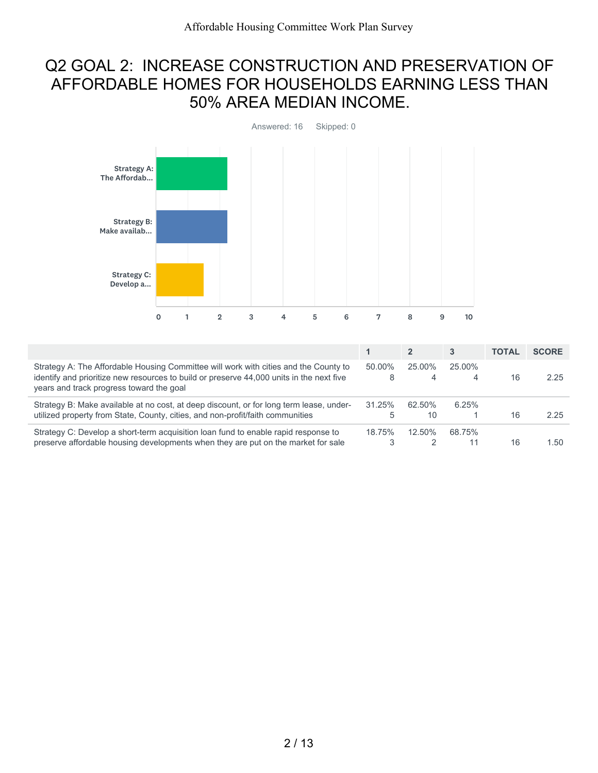#### Q2 GOAL 2: INCREASE CONSTRUCTION AND PRESERVATION OF AFFORDABLE HOMES FOR HOUSEHOLDS EARNING LESS THAN 50% AREA MEDIAN INCOME.



|                                                                                                                                                                                                                              |             |              | 3           | <b>TOTAL</b> | <b>SCORE</b> |
|------------------------------------------------------------------------------------------------------------------------------------------------------------------------------------------------------------------------------|-------------|--------------|-------------|--------------|--------------|
| Strategy A: The Affordable Housing Committee will work with cities and the County to<br>identify and prioritize new resources to build or preserve 44,000 units in the next five<br>years and track progress toward the goal | 50.00%<br>8 | 25.00%<br>4  | 25.00%<br>4 | 16           | 225          |
| Strategy B: Make available at no cost, at deep discount, or for long term lease, under-<br>utilized property from State, County, cities, and non-profit/faith communities                                                    | 31.25%<br>5 | 62.50%<br>10 | 6.25%       | 16           | 2.25         |
| Strategy C: Develop a short-term acquisition loan fund to enable rapid response to<br>preserve affordable housing developments when they are put on the market for sale                                                      | 18.75%<br>3 | 12.50%       | 68.75%      | 16           | 1.50         |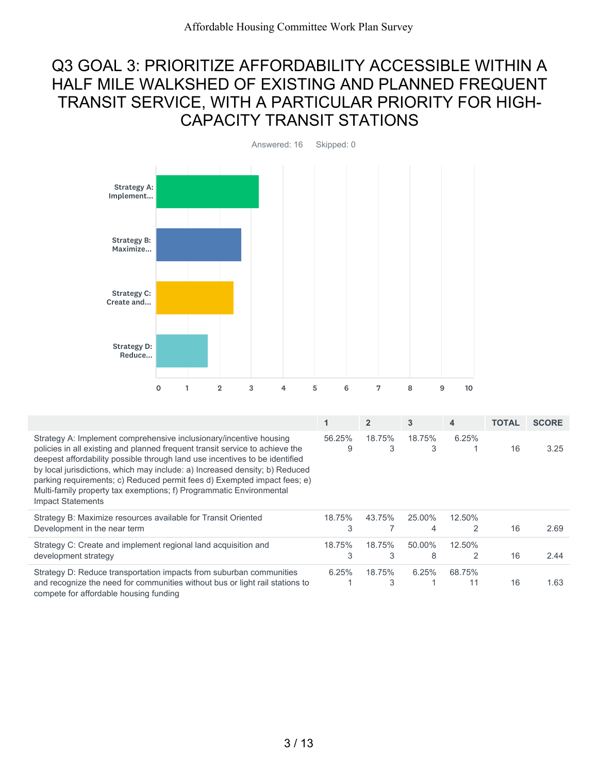### Q3 GOAL 3: PRIORITIZE AFFORDABILITY ACCESSIBLE WITHIN A HALF MILE WALKSHED OF EXISTING AND PLANNED FREQUENT TRANSIT SERVICE, WITH A PARTICULAR PRIORITY FOR HIGH-CAPACITY TRANSIT STATIONS



|                                                                                                                                                                                                                                                                                                                                                                                                                                                                                                 |             | $\overline{2}$ | 3           | $\overline{\mathbf{4}}$ | <b>TOTAL</b> | <b>SCORE</b> |
|-------------------------------------------------------------------------------------------------------------------------------------------------------------------------------------------------------------------------------------------------------------------------------------------------------------------------------------------------------------------------------------------------------------------------------------------------------------------------------------------------|-------------|----------------|-------------|-------------------------|--------------|--------------|
| Strategy A: Implement comprehensive inclusionary/incentive housing<br>policies in all existing and planned frequent transit service to achieve the<br>deepest affordability possible through land use incentives to be identified<br>by local jurisdictions, which may include: a) Increased density; b) Reduced<br>parking requirements; c) Reduced permit fees d) Exempted impact fees; e)<br>Multi-family property tax exemptions; f) Programmatic Environmental<br><b>Impact Statements</b> | 56.25%<br>9 | 18.75%<br>3    | 18.75%<br>3 | 6.25%                   | 16           | 3.25         |
| Strategy B: Maximize resources available for Transit Oriented                                                                                                                                                                                                                                                                                                                                                                                                                                   | 18.75%      | 43.75%         | 25.00%      | 12.50%                  |              |              |
| Development in the near term                                                                                                                                                                                                                                                                                                                                                                                                                                                                    | 3           |                | 4           | 2                       | 16           | 2.69         |
| Strategy C: Create and implement regional land acquisition and                                                                                                                                                                                                                                                                                                                                                                                                                                  | 18.75%      | 18.75%         | 50.00%      | 12.50%                  |              |              |
| development strategy                                                                                                                                                                                                                                                                                                                                                                                                                                                                            | 3           | 3              | 8           | $\mathcal{P}$           | 16           | 2.44         |
| Strategy D: Reduce transportation impacts from suburban communities                                                                                                                                                                                                                                                                                                                                                                                                                             | 6.25%       | 18.75%         | 6.25%       | 68.75%                  |              |              |
| and recognize the need for communities without bus or light rail stations to                                                                                                                                                                                                                                                                                                                                                                                                                    |             | 3              |             |                         | 16           | 1.63         |

compete for affordable housing funding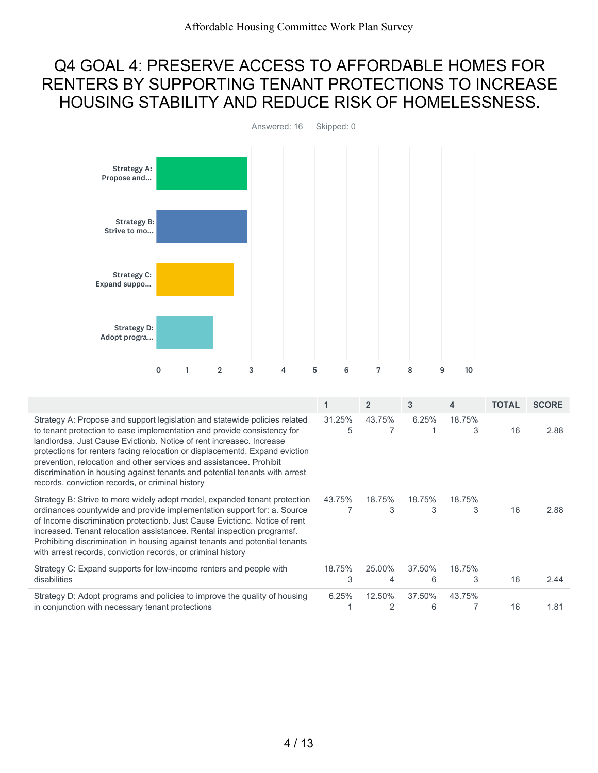#### Q4 GOAL 4: PRESERVE ACCESS TO AFFORDABLE HOMES FOR RENTERS BY SUPPORTING TENANT PROTECTIONS TO INCREASE HOUSING STABILITY AND REDUCE RISK OF HOMELESSNESS.



|                                                                                                                                                                                                                                                                                                                                                                                                                                                                                                                        | 1           | $\overline{2}$ | 3           | 4           | <b>TOTAL</b> | <b>SCORE</b> |
|------------------------------------------------------------------------------------------------------------------------------------------------------------------------------------------------------------------------------------------------------------------------------------------------------------------------------------------------------------------------------------------------------------------------------------------------------------------------------------------------------------------------|-------------|----------------|-------------|-------------|--------------|--------------|
| Strategy A: Propose and support legislation and statewide policies related<br>to tenant protection to ease implementation and provide consistency for<br>landlordsa, Just Cause Evictionb, Notice of rent increasec, Increase<br>protections for renters facing relocation or displacementd. Expand eviction<br>prevention, relocation and other services and assistancee. Prohibit<br>discrimination in housing against tenants and potential tenants with arrest<br>records, conviction records, or criminal history | 31.25%<br>5 | 43.75%         | 6.25%       | 18.75%<br>3 | 16           | 2.88         |
| Strategy B: Strive to more widely adopt model, expanded tenant protection<br>ordinances countywide and provide implementation support for: a. Source<br>of Income discrimination protectionb. Just Cause Evictionc. Notice of rent<br>increased. Tenant relocation assistancee. Rental inspection programsf.<br>Prohibiting discrimination in housing against tenants and potential tenants<br>with arrest records, conviction records, or criminal history                                                            | 43.75%      | 18.75%<br>3    | 18.75%<br>3 | 18.75%<br>3 | 16           | 2.88         |
| Strategy C: Expand supports for low-income renters and people with<br>disabilities                                                                                                                                                                                                                                                                                                                                                                                                                                     | 18.75%<br>3 | 25.00%<br>4    | 37.50%<br>6 | 18.75%<br>3 | 16           | 2.44         |
| Strategy D: Adopt programs and policies to improve the quality of housing<br>in conjunction with necessary tenant protections                                                                                                                                                                                                                                                                                                                                                                                          | 6.25%       | 12.50%         | 37.50%<br>6 | 43.75%      | 16           | 1.81         |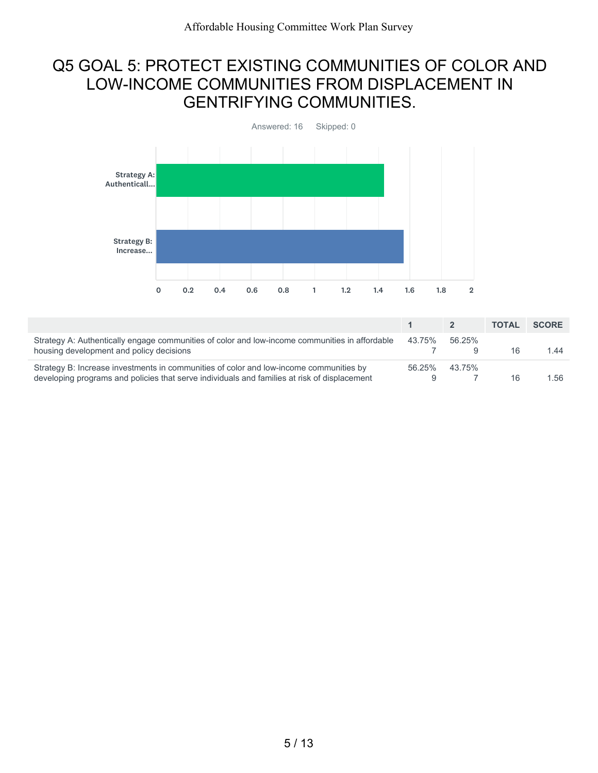### Q5 GOAL 5: PROTECT EXISTING COMMUNITIES OF COLOR AND LOW-INCOME COMMUNITIES FROM DISPLACEMENT IN GENTRIFYING COMMUNITIES.



|                                                                                                                                                                                        |        |        | <b>TOTAL</b> | <b>SCORE</b> |
|----------------------------------------------------------------------------------------------------------------------------------------------------------------------------------------|--------|--------|--------------|--------------|
| Strategy A: Authentically engage communities of color and low-income communities in affordable<br>housing development and policy decisions                                             | 43.75% | 56.25% | 16           | 1 44         |
| Strategy B: Increase investments in communities of color and low-income communities by<br>developing programs and policies that serve individuals and families at risk of displacement | 56.25% | 43.75% | 16           | 1.56         |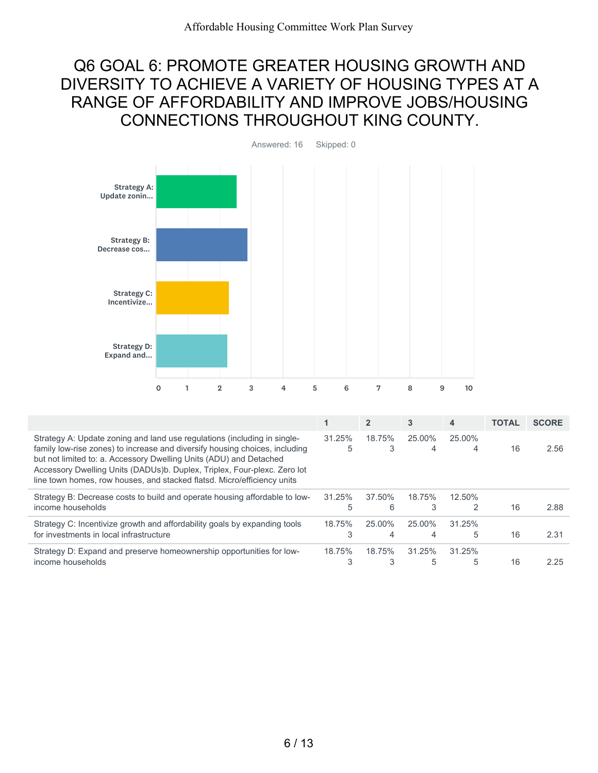### Q6 GOAL 6: PROMOTE GREATER HOUSING GROWTH AND DIVERSITY TO ACHIEVE A VARIETY OF HOUSING TYPES AT A RANGE OF AFFORDABILITY AND IMPROVE JOBS/HOUSING CONNECTIONS THROUGHOUT KING COUNTY.



|                                                                                                                                                                                                                                                                                                                                                                                      |             | $\overline{2}$ | 3           | 4              | <b>TOTAL</b> | <b>SCORE</b> |
|--------------------------------------------------------------------------------------------------------------------------------------------------------------------------------------------------------------------------------------------------------------------------------------------------------------------------------------------------------------------------------------|-------------|----------------|-------------|----------------|--------------|--------------|
| Strategy A: Update zoning and land use regulations (including in single-<br>family low-rise zones) to increase and diversify housing choices, including<br>but not limited to: a. Accessory Dwelling Units (ADU) and Detached<br>Accessory Dwelling Units (DADUs)b. Duplex, Triplex, Four-plexc. Zero lot<br>line town homes, row houses, and stacked flatsd. Micro/efficiency units | 31.25%<br>5 | 18.75%<br>3    | 25.00%<br>4 | 25.00%<br>4    | 16           | 2.56         |
| Strategy B: Decrease costs to build and operate housing affordable to low-<br>income households                                                                                                                                                                                                                                                                                      | 31.25%<br>5 | 37.50%<br>6    | 18.75%<br>3 | $12.50\%$<br>2 | 16           | 2.88         |
| Strategy C: Incentivize growth and affordability goals by expanding tools<br>for investments in local infrastructure                                                                                                                                                                                                                                                                 | 18.75%<br>3 | 25.00%<br>4    | 25.00%<br>4 | 31.25%<br>5    | 16           | 2.31         |
| Strategy D: Expand and preserve homeownership opportunities for low-<br>income households                                                                                                                                                                                                                                                                                            | 18.75%<br>3 | 18.75%<br>3    | 31.25%<br>5 | 31.25%<br>5    | 16           | 2.25         |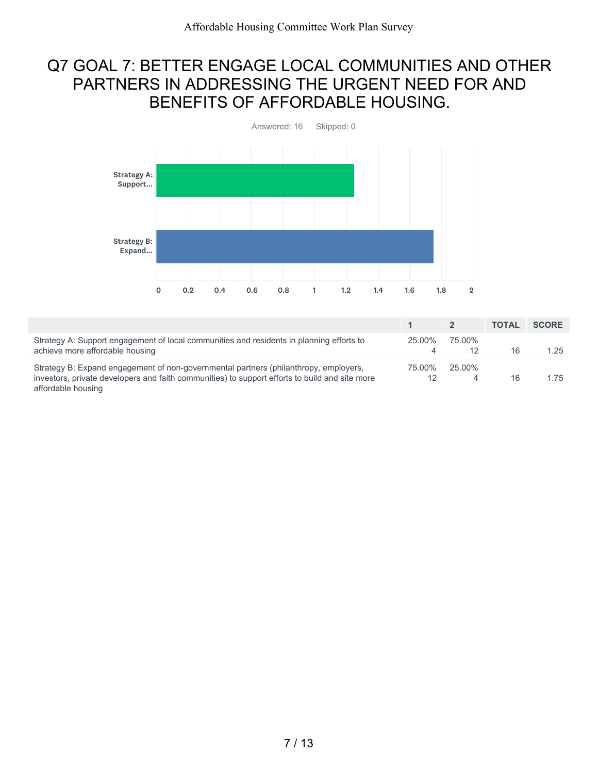## Q7 GOAL 7: BETTER ENGAGE LOCAL COMMUNITIES AND OTHER PARTNERS IN ADDRESSING THE URGENT NEED FOR AND BENEFITS OF AFFORDABLE HOUSING.



|                                                                                                                                                                                                              |        |        | <b>TOTAL</b> | <b>SCORE</b> |
|--------------------------------------------------------------------------------------------------------------------------------------------------------------------------------------------------------------|--------|--------|--------------|--------------|
| Strategy A: Support engagement of local communities and residents in planning efforts to<br>achieve more affordable housing                                                                                  | 25.00% | 75.00% | 16.          | 1.25         |
| Strategy B: Expand engagement of non-governmental partners (philanthropy, employers,<br>investors, private developers and faith communities) to support efforts to build and site more<br>affordable housing | 75.00% | 25.00% | 16           | 1 75         |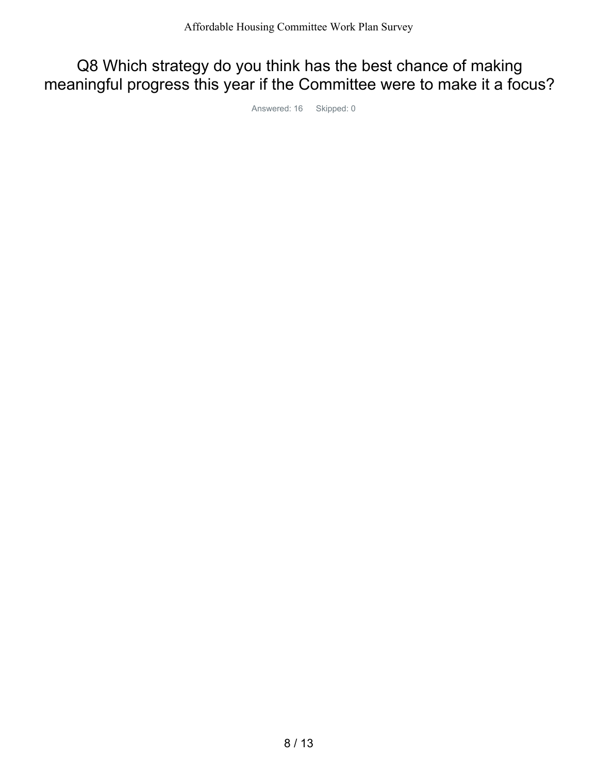Q8 Which strategy do you think has the best chance of making meaningful progress this year if the Committee were to make it a focus?

Answered: 16 Skipped: 0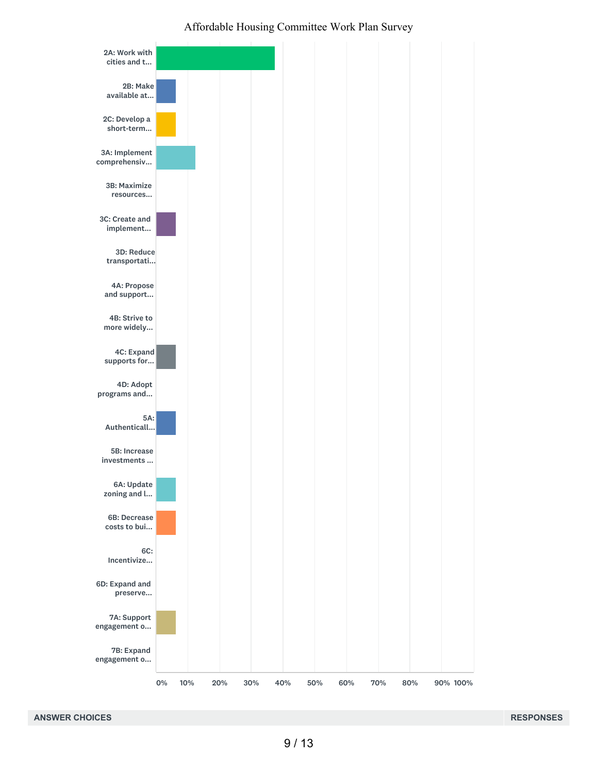

#### Affordable Housing Committee Work Plan Survey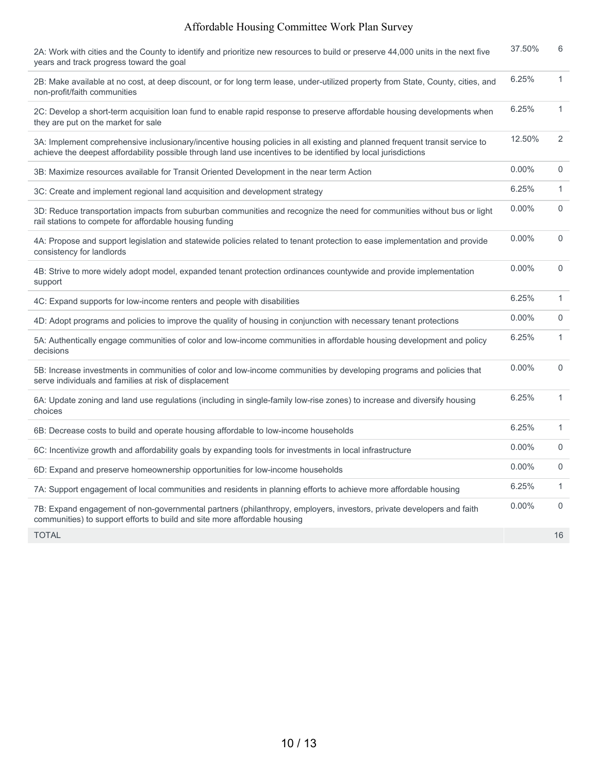#### Affordable Housing Committee Work Plan Survey

| 2A: Work with cities and the County to identify and prioritize new resources to build or preserve 44,000 units in the next five<br>years and track progress toward the goal                                                                   | 37.50%   | 6              |
|-----------------------------------------------------------------------------------------------------------------------------------------------------------------------------------------------------------------------------------------------|----------|----------------|
| 2B: Make available at no cost, at deep discount, or for long term lease, under-utilized property from State, County, cities, and<br>non-profit/faith communities                                                                              | 6.25%    | $\mathbf{1}$   |
| 2C: Develop a short-term acquisition loan fund to enable rapid response to preserve affordable housing developments when<br>they are put on the market for sale                                                                               | 6.25%    | $\mathbf{1}$   |
| 3A: Implement comprehensive inclusionary/incentive housing policies in all existing and planned frequent transit service to<br>achieve the deepest affordability possible through land use incentives to be identified by local jurisdictions | 12.50%   | 2              |
| 3B: Maximize resources available for Transit Oriented Development in the near term Action                                                                                                                                                     | 0.00%    | 0              |
| 3C: Create and implement regional land acquisition and development strategy                                                                                                                                                                   | 6.25%    | $\mathbf{1}$   |
| 3D: Reduce transportation impacts from suburban communities and recognize the need for communities without bus or light<br>rail stations to compete for affordable housing funding                                                            | $0.00\%$ | $\Omega$       |
| 4A: Propose and support legislation and statewide policies related to tenant protection to ease implementation and provide<br>consistency for landlords                                                                                       | 0.00%    | $\overline{0}$ |
| 4B: Strive to more widely adopt model, expanded tenant protection ordinances countywide and provide implementation<br>support                                                                                                                 | $0.00\%$ | $\mathbf 0$    |
| 4C: Expand supports for low-income renters and people with disabilities                                                                                                                                                                       | 6.25%    | 1              |
| 4D: Adopt programs and policies to improve the quality of housing in conjunction with necessary tenant protections                                                                                                                            | $0.00\%$ | $\mathbf 0$    |
| 5A: Authentically engage communities of color and low-income communities in affordable housing development and policy<br>decisions                                                                                                            | 6.25%    | $\mathbf{1}$   |
| 5B: Increase investments in communities of color and low-income communities by developing programs and policies that<br>serve individuals and families at risk of displacement                                                                | 0.00%    | $\mathbf 0$    |
| 6A: Update zoning and land use regulations (including in single-family low-rise zones) to increase and diversify housing<br>choices                                                                                                           | 6.25%    | $\mathbf{1}$   |
| 6B: Decrease costs to build and operate housing affordable to low-income households                                                                                                                                                           | 6.25%    | $\mathbf{1}$   |
| 6C: Incentivize growth and affordability goals by expanding tools for investments in local infrastructure                                                                                                                                     | 0.00%    | $\mathbf{0}$   |
| 6D: Expand and preserve homeownership opportunities for low-income households                                                                                                                                                                 | $0.00\%$ | $\mathbf 0$    |
| 7A: Support engagement of local communities and residents in planning efforts to achieve more affordable housing                                                                                                                              | 6.25%    | $\mathbf{1}$   |
| 7B: Expand engagement of non-governmental partners (philanthropy, employers, investors, private developers and faith<br>communities) to support efforts to build and site more affordable housing                                             | $0.00\%$ | $\mathbf 0$    |
| <b>TOTAL</b>                                                                                                                                                                                                                                  |          | 16             |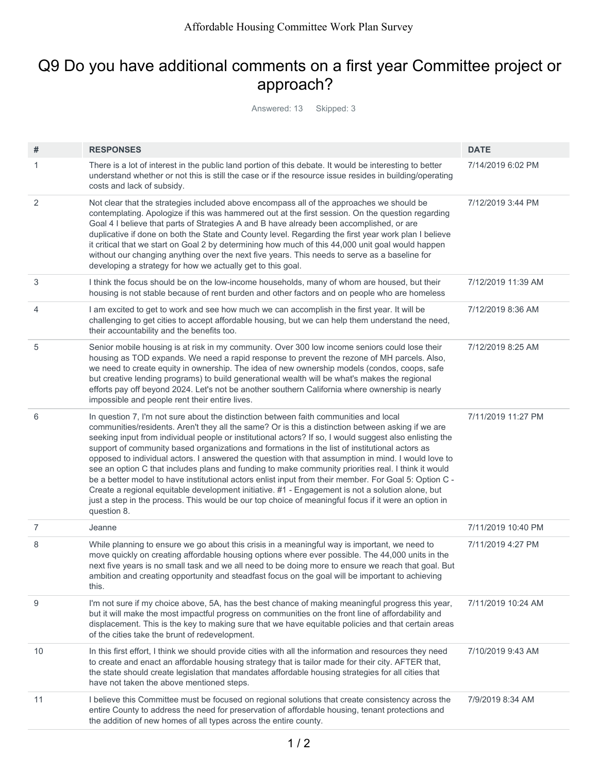# Q9 Do you have additional comments on a first year Committee project or approach?

Answered: 13 Skipped: 3

| #              | <b>RESPONSES</b>                                                                                                                                                                                                                                                                                                                                                                                                                                                                                                                                                                                                                                                                                                                                                                                                                                                                                                                                           | <b>DATE</b>        |
|----------------|------------------------------------------------------------------------------------------------------------------------------------------------------------------------------------------------------------------------------------------------------------------------------------------------------------------------------------------------------------------------------------------------------------------------------------------------------------------------------------------------------------------------------------------------------------------------------------------------------------------------------------------------------------------------------------------------------------------------------------------------------------------------------------------------------------------------------------------------------------------------------------------------------------------------------------------------------------|--------------------|
| 1              | There is a lot of interest in the public land portion of this debate. It would be interesting to better<br>understand whether or not this is still the case or if the resource issue resides in building/operating<br>costs and lack of subsidy.                                                                                                                                                                                                                                                                                                                                                                                                                                                                                                                                                                                                                                                                                                           | 7/14/2019 6:02 PM  |
| 2              | Not clear that the strategies included above encompass all of the approaches we should be<br>contemplating. Apologize if this was hammered out at the first session. On the question regarding<br>Goal 4 I believe that parts of Strategies A and B have already been accomplished, or are<br>duplicative if done on both the State and County level. Regarding the first year work plan I believe<br>it critical that we start on Goal 2 by determining how much of this 44,000 unit goal would happen<br>without our changing anything over the next five years. This needs to serve as a baseline for<br>developing a strategy for how we actually get to this goal.                                                                                                                                                                                                                                                                                    | 7/12/2019 3:44 PM  |
| 3              | I think the focus should be on the low-income households, many of whom are housed, but their<br>housing is not stable because of rent burden and other factors and on people who are homeless                                                                                                                                                                                                                                                                                                                                                                                                                                                                                                                                                                                                                                                                                                                                                              | 7/12/2019 11:39 AM |
| 4              | I am excited to get to work and see how much we can accomplish in the first year. It will be<br>challenging to get cities to accept affordable housing, but we can help them understand the need,<br>their accountability and the benefits too.                                                                                                                                                                                                                                                                                                                                                                                                                                                                                                                                                                                                                                                                                                            | 7/12/2019 8:36 AM  |
| 5              | Senior mobile housing is at risk in my community. Over 300 low income seniors could lose their<br>housing as TOD expands. We need a rapid response to prevent the rezone of MH parcels. Also,<br>we need to create equity in ownership. The idea of new ownership models (condos, coops, safe<br>but creative lending programs) to build generational wealth will be what's makes the regional<br>efforts pay off beyond 2024. Let's not be another southern California where ownership is nearly<br>impossible and people rent their entire lives.                                                                                                                                                                                                                                                                                                                                                                                                        | 7/12/2019 8:25 AM  |
| 6              | In question 7, I'm not sure about the distinction between faith communities and local<br>communities/residents. Aren't they all the same? Or is this a distinction between asking if we are<br>seeking input from individual people or institutional actors? If so, I would suggest also enlisting the<br>support of community based organizations and formations in the list of institutional actors as<br>opposed to individual actors. I answered the question with that assumption in mind. I would love to<br>see an option C that includes plans and funding to make community priorities real. I think it would<br>be a better model to have institutional actors enlist input from their member. For Goal 5: Option C -<br>Create a regional equitable development initiative. #1 - Engagement is not a solution alone, but<br>just a step in the process. This would be our top choice of meaningful focus if it were an option in<br>question 8. | 7/11/2019 11:27 PM |
| $\overline{7}$ | Jeanne                                                                                                                                                                                                                                                                                                                                                                                                                                                                                                                                                                                                                                                                                                                                                                                                                                                                                                                                                     | 7/11/2019 10:40 PM |
| 8              | While planning to ensure we go about this crisis in a meaningful way is important, we need to<br>move quickly on creating affordable housing options where ever possible. The 44,000 units in the<br>next five years is no small task and we all need to be doing more to ensure we reach that goal. But<br>ambition and creating opportunity and steadfast focus on the goal will be important to achieving<br>this.                                                                                                                                                                                                                                                                                                                                                                                                                                                                                                                                      | 7/11/2019 4:27 PM  |
| 9              | I'm not sure if my choice above, 5A, has the best chance of making meaningful progress this year,<br>but it will make the most impactful progress on communities on the front line of affordability and<br>displacement. This is the key to making sure that we have equitable policies and that certain areas<br>of the cities take the brunt of redevelopment.                                                                                                                                                                                                                                                                                                                                                                                                                                                                                                                                                                                           | 7/11/2019 10:24 AM |
| 10             | In this first effort, I think we should provide cities with all the information and resources they need<br>to create and enact an affordable housing strategy that is tailor made for their city. AFTER that,<br>the state should create legislation that mandates affordable housing strategies for all cities that<br>have not taken the above mentioned steps.                                                                                                                                                                                                                                                                                                                                                                                                                                                                                                                                                                                          | 7/10/2019 9:43 AM  |
| 11             | I believe this Committee must be focused on regional solutions that create consistency across the<br>entire County to address the need for preservation of affordable housing, tenant protections and<br>the addition of new homes of all types across the entire county.                                                                                                                                                                                                                                                                                                                                                                                                                                                                                                                                                                                                                                                                                  | 7/9/2019 8:34 AM   |